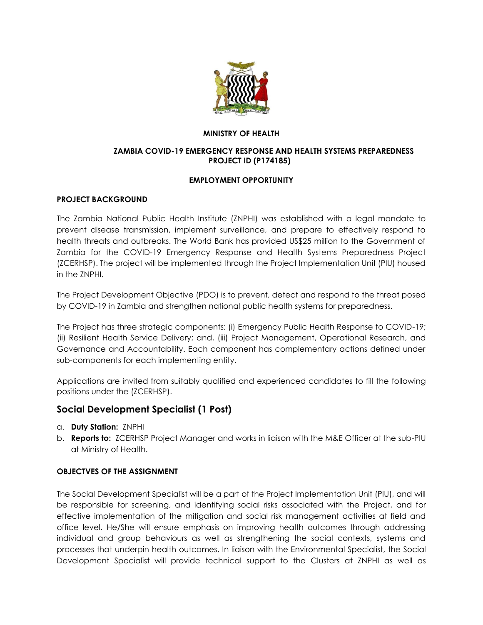

#### **MINISTRY OF HEALTH**

#### **ZAMBIA COVID-19 EMERGENCY RESPONSE AND HEALTH SYSTEMS PREPAREDNESS PROJECT ID (P174185)**

### **EMPLOYMENT OPPORTUNITY**

### **PROJECT BACKGROUND**

The Zambia National Public Health Institute (ZNPHI) was established with a legal mandate to prevent disease transmission, implement surveillance, and prepare to effectively respond to health threats and outbreaks. The World Bank has provided US\$25 million to the Government of Zambia for the COVID-19 Emergency Response and Health Systems Preparedness Project (ZCERHSP). The project will be implemented through the Project Implementation Unit (PIU) housed in the ZNPHI.

The Project Development Objective (PDO) is to prevent, detect and respond to the threat posed by COVID-19 in Zambia and strengthen national public health systems for preparedness.

The Project has three strategic components: (i) Emergency Public Health Response to COVID-19; (ii) Resilient Health Service Delivery; and, (iii) Project Management, Operational Research, and Governance and Accountability. Each component has complementary actions defined under sub-components for each implementing entity.

Applications are invited from suitably qualified and experienced candidates to fill the following positions under the (ZCERHSP).

## **Social Development Specialist (1 Post)**

- a. **Duty Station:** ZNPHI
- b. **Reports to:** ZCERHSP Project Manager and works in liaison with the M&E Officer at the sub-PIU at Ministry of Health.

#### **OBJECTVES OF THE ASSIGNMENT**

The Social Development Specialist will be a part of the Project Implementation Unit (PIU), and will be responsible for screening, and identifying social risks associated with the Project, and for effective implementation of the mitigation and social risk management activities at field and office level. He/She will ensure emphasis on improving health outcomes through addressing individual and group behaviours as well as strengthening the social contexts, systems and processes that underpin health outcomes. In liaison with the Environmental Specialist, the Social Development Specialist will provide technical support to the Clusters at ZNPHI as well as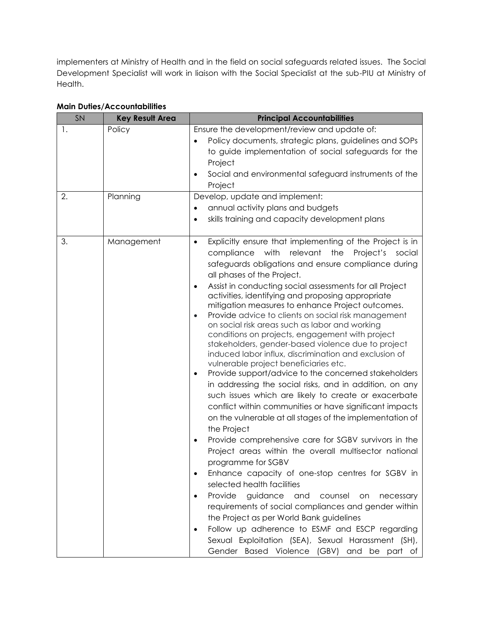implementers at Ministry of Health and in the field on social safeguards related issues. The Social Development Specialist will work in liaison with the Social Specialist at the sub-PIU at Ministry of Health.

| SN                   | <b>Key Result Area</b> | <b>Principal Accountabilities</b>                                                                                                                                                                                                                                                                                                                                                                                                                                                                                                                                                                                                                                                                                                                                                                                                                                                                                                                                                                                                                                                                                                                                                                                                                                                                                                                                                                                                                                                                                                                                                                                                                    |
|----------------------|------------------------|------------------------------------------------------------------------------------------------------------------------------------------------------------------------------------------------------------------------------------------------------------------------------------------------------------------------------------------------------------------------------------------------------------------------------------------------------------------------------------------------------------------------------------------------------------------------------------------------------------------------------------------------------------------------------------------------------------------------------------------------------------------------------------------------------------------------------------------------------------------------------------------------------------------------------------------------------------------------------------------------------------------------------------------------------------------------------------------------------------------------------------------------------------------------------------------------------------------------------------------------------------------------------------------------------------------------------------------------------------------------------------------------------------------------------------------------------------------------------------------------------------------------------------------------------------------------------------------------------------------------------------------------------|
| $\mathbf{1}$ .<br>2. | Policy<br>Planning     | Ensure the development/review and update of:<br>Policy documents, strategic plans, guidelines and SOPs<br>to guide implementation of social safeguards for the<br>Project<br>Social and environmental safeguard instruments of the<br>Project<br>Develop, update and implement:<br>annual activity plans and budgets<br>$\bullet$<br>skills training and capacity development plans<br>$\bullet$                                                                                                                                                                                                                                                                                                                                                                                                                                                                                                                                                                                                                                                                                                                                                                                                                                                                                                                                                                                                                                                                                                                                                                                                                                                     |
| 3.                   | Management             | Explicitly ensure that implementing of the Project is in<br>$\bullet$<br>compliance with relevant<br>the<br>Project's social<br>safeguards obligations and ensure compliance during<br>all phases of the Project.<br>Assist in conducting social assessments for all Project<br>$\bullet$<br>activities, identifying and proposing appropriate<br>mitigation measures to enhance Project outcomes.<br>Provide advice to clients on social risk management<br>$\bullet$<br>on social risk areas such as labor and working<br>conditions on projects, engagement with project<br>stakeholders, gender-based violence due to project<br>induced labor influx, discrimination and exclusion of<br>vulnerable project beneficiaries etc.<br>Provide support/advice to the concerned stakeholders<br>$\bullet$<br>in addressing the social risks, and in addition, on any<br>such issues which are likely to create or exacerbate<br>conflict within communities or have significant impacts<br>on the vulnerable at all stages of the implementation of<br>the Project<br>Provide comprehensive care for SGBV survivors in the<br>$\bullet$<br>Project areas within the overall multisector national<br>programme for SGBV<br>Enhance capacity of one-stop centres for SGBV in<br>٠<br>selected health facilities<br>Provide<br>guidance<br>and<br>counsel<br>necessary<br>on<br>$\bullet$<br>requirements of social compliances and gender within<br>the Project as per World Bank guidelines<br>Follow up adherence to ESMF and ESCP regarding<br>٠<br>Sexual Exploitation (SEA), Sexual Harassment (SH),<br>Gender Based Violence (GBV) and be part of |

# **Main Duties/Accountabilities**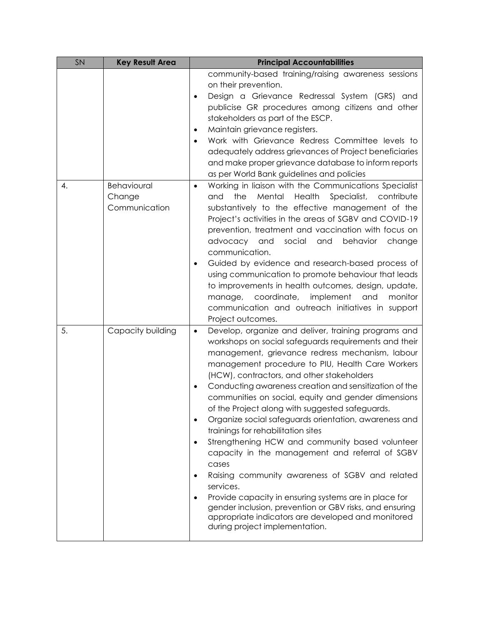| <b>SN</b> | <b>Key Result Area</b> | <b>Principal Accountabilities</b>                                                                                             |
|-----------|------------------------|-------------------------------------------------------------------------------------------------------------------------------|
|           |                        | community-based training/raising awareness sessions                                                                           |
|           |                        | on their prevention.                                                                                                          |
|           |                        | Design a Grievance Redressal System (GRS) and<br>$\bullet$                                                                    |
|           |                        | publicise GR procedures among citizens and other                                                                              |
|           |                        | stakeholders as part of the ESCP.                                                                                             |
|           |                        | Maintain grievance registers.<br>$\bullet$                                                                                    |
|           |                        | Work with Grievance Redress Committee levels to<br>$\bullet$                                                                  |
|           |                        | adequately address grievances of Project beneficiaries<br>and make proper grievance database to inform reports                |
|           |                        | as per World Bank guidelines and policies                                                                                     |
| 4.        | Behavioural            | Working in liaison with the Communications Specialist<br>$\bullet$                                                            |
|           | Change                 | Specialist,<br>the<br>Mental<br>Health<br>and<br>contribute                                                                   |
|           | Communication          | substantively to the effective management of the                                                                              |
|           |                        | Project's activities in the areas of SGBV and COVID-19                                                                        |
|           |                        | prevention, treatment and vaccination with focus on                                                                           |
|           |                        | advocacy and<br>social<br>and<br>behavior<br>change                                                                           |
|           |                        | communication.                                                                                                                |
|           |                        | Guided by evidence and research-based process of<br>$\bullet$                                                                 |
|           |                        | using communication to promote behaviour that leads                                                                           |
|           |                        | to improvements in health outcomes, design, update,                                                                           |
|           |                        | manage, coordinate,<br>implement<br>and<br>monitor                                                                            |
|           |                        | communication and outreach initiatives in support                                                                             |
|           |                        | Project outcomes.                                                                                                             |
| 5.        | Capacity building      | Develop, organize and deliver, training programs and<br>$\bullet$                                                             |
|           |                        | workshops on social safeguards requirements and their<br>management, grievance redress mechanism, labour                      |
|           |                        | management procedure to PIU, Health Care Workers                                                                              |
|           |                        | (HCW), contractors, and other stakeholders                                                                                    |
|           |                        | Conducting awareness creation and sensitization of the<br>$\bullet$                                                           |
|           |                        | communities on social, equity and gender dimensions                                                                           |
|           |                        | of the Project along with suggested safeguards.                                                                               |
|           |                        | Organize social safeguards orientation, awareness and<br>$\bullet$                                                            |
|           |                        | trainings for rehabilitation sites                                                                                            |
|           |                        | Strengthening HCW and community based volunteer<br>$\bullet$                                                                  |
|           |                        | capacity in the management and referral of SGBV                                                                               |
|           |                        | cases                                                                                                                         |
|           |                        | Raising community awareness of SGBV and related<br>$\bullet$                                                                  |
|           |                        | services.                                                                                                                     |
|           |                        | Provide capacity in ensuring systems are in place for<br>$\bullet$<br>gender inclusion, prevention or GBV risks, and ensuring |
|           |                        | appropriate indicators are developed and monitored                                                                            |
|           |                        | during project implementation.                                                                                                |
|           |                        |                                                                                                                               |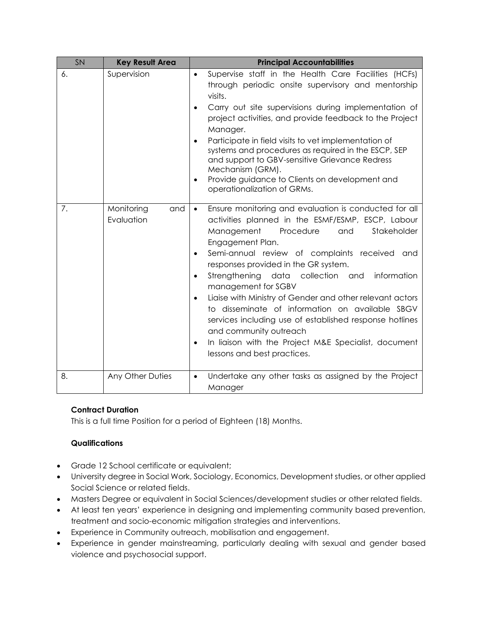| <b>SN</b> | <b>Key Result Area</b>          | <b>Principal Accountabilities</b>                                                                                                                                                                                                                                                                                                                                                                                                                                                                                                                                                                                                                                                                               |
|-----------|---------------------------------|-----------------------------------------------------------------------------------------------------------------------------------------------------------------------------------------------------------------------------------------------------------------------------------------------------------------------------------------------------------------------------------------------------------------------------------------------------------------------------------------------------------------------------------------------------------------------------------------------------------------------------------------------------------------------------------------------------------------|
| 6.        | Supervision                     | Supervise staff in the Health Care Facilities (HCFs)<br>$\bullet$<br>through periodic onsite supervisory and mentorship<br>visits.<br>Carry out site supervisions during implementation of<br>$\bullet$<br>project activities, and provide feedback to the Project<br>Manager.<br>Participate in field visits to vet implementation of<br>systems and procedures as required in the ESCP, SEP<br>and support to GBV-sensitive Grievance Redress<br>Mechanism (GRM).<br>Provide guidance to Clients on development and<br>$\bullet$<br>operationalization of GRMs.                                                                                                                                               |
| 7.        | Monitoring<br>and<br>Evaluation | Ensure monitoring and evaluation is conducted for all<br>$\bullet$<br>activities planned in the ESMF/ESMP, ESCP, Labour<br>Management<br>Procedure<br>Stakeholder<br>and<br>Engagement Plan.<br>Semi-annual review of complaints received and<br>$\bullet$<br>responses provided in the GR system.<br>Strengthening data collection and<br>information<br>$\bullet$<br>management for SGBV<br>Liaise with Ministry of Gender and other relevant actors<br>$\bullet$<br>to disseminate of information on available SBGV<br>services including use of established response hotlines<br>and community outreach<br>In liaison with the Project M&E Specialist, document<br>$\bullet$<br>lessons and best practices. |
| 8.        | Any Other Duties                | Undertake any other tasks as assigned by the Project<br>$\bullet$<br>Manager                                                                                                                                                                                                                                                                                                                                                                                                                                                                                                                                                                                                                                    |

## **Contract Duration**

This is a full time Position for a period of Eighteen (18) Months.

### **Qualifications**

- Grade 12 School certificate or equivalent;
- University degree in Social Work, Sociology, Economics, Development studies, or other applied Social Science or related fields.
- Masters Degree or equivalent in Social Sciences/development studies or other related fields.
- At least ten years' experience in designing and implementing community based prevention, treatment and socio-economic mitigation strategies and interventions.
- Experience in Community outreach, mobilisation and engagement.
- Experience in gender mainstreaming, particularly dealing with sexual and gender based violence and psychosocial support.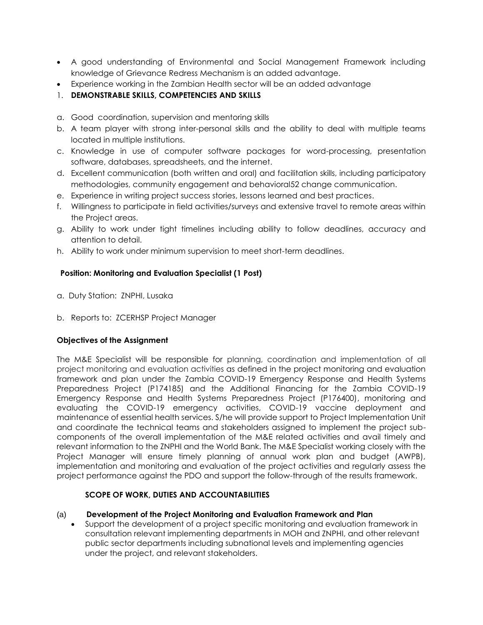- A good understanding of Environmental and Social Management Framework including knowledge of Grievance Redress Mechanism is an added advantage.
- Experience working in the Zambian Health sector will be an added advantage
- 1. **DEMONSTRABLE SKILLS, COMPETENCIES AND SKILLS**
- a. Good coordination, supervision and mentoring skills
- b. A team player with strong inter-personal skills and the ability to deal with multiple teams located in multiple institutions.
- c. Knowledge in use of computer software packages for word-processing, presentation software, databases, spreadsheets, and the internet.
- d. Excellent communication (both written and oral) and facilitation skills, including participatory methodologies, community engagement and behavioral52 change communication.
- e. Experience in writing project success stories, lessons learned and best practices.
- f. Willingness to participate in field activities/surveys and extensive travel to remote areas within the Project areas.
- g. Ability to work under tight timelines including ability to follow deadlines, accuracy and attention to detail.
- h. Ability to work under minimum supervision to meet short-term deadlines.

### **Position: Monitoring and Evaluation Specialist (1 Post)**

- a. Duty Station: ZNPHI, Lusaka
- b. Reports to:ZCERHSP Project Manager

### **Objectives of the Assignment**

The M&E Specialist will be responsible for planning, coordination and implementation of all project monitoring and evaluation activities as defined in the project monitoring and evaluation framework and plan under the Zambia COVID-19 Emergency Response and Health Systems Preparedness Project (P174185) and the Additional Financing for the Zambia COVID-19 Emergency Response and Health Systems Preparedness Project (P176400), monitoring and evaluating the COVID-19 emergency activities, COVID-19 vaccine deployment and maintenance of essential health services. S/he will provide support to Project Implementation Unit and coordinate the technical teams and stakeholders assigned to implement the project subcomponents of the overall implementation of the M&E related activities and avail timely and relevant information to the ZNPHI and the World Bank. The M&E Specialist working closely with the Project Manager will ensure timely planning of annual work plan and budget (AWPB), implementation and monitoring and evaluation of the project activities and regularly assess the project performance against the PDO and support the follow-through of the results framework.

### **SCOPE OF WORK, DUTIES AND ACCOUNTABILITIES**

#### (a) **Development of the Project Monitoring and Evaluation Framework and Plan**

• Support the development of a project specific monitoring and evaluation framework in consultation relevant implementing departments in MOH and ZNPHI, and other relevant public sector departments including subnational levels and implementing agencies under the project, and relevant stakeholders.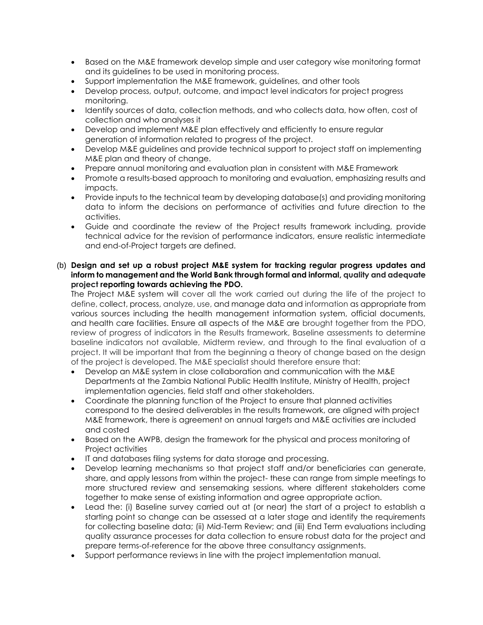- Based on the M&E framework develop simple and user category wise monitoring format and its guidelines to be used in monitoring process.
- Support implementation the M&E framework, guidelines, and other tools
- Develop process, output, outcome, and impact level indicators for project progress monitoring.
- Identify sources of data, collection methods, and who collects data, how often, cost of collection and who analyses it
- Develop and implement M&E plan effectively and efficiently to ensure regular generation of information related to progress of the project.
- Develop M&E guidelines and provide technical support to project staff on implementing M&E plan and theory of change.
- Prepare annual monitoring and evaluation plan in consistent with M&E Framework
- Promote a results-based approach to monitoring and evaluation, emphasizing results and impacts.
- Provide inputs to the technical team by developing database(s) and providing monitoring data to inform the decisions on performance of activities and future direction to the activities.
- Guide and coordinate the review of the Project results framework including, provide technical advice for the revision of performance indicators, ensure realistic intermediate and end-of-Project targets are defined.
- (b) **Design and set up a robust project M&E system for tracking regular progress updates and inform to management and the World Bank through formal and informal, quality and adequate project reporting towards achieving the PDO.**

The Project M&E system will cover all the work carried out during the life of the project to define, collect, process, analyze, use, and manage data and information as appropriate from various sources including the health management information system, official documents, and health care facilities. Ensure all aspects of the M&E are brought together from the PDO, review of progress of indicators in the Results framework, Baseline assessments to determine baseline indicators not available, Midterm review, and through to the final evaluation of a project. It will be important that from the beginning a theory of change based on the design of the project is developed. The M&E specialist should therefore ensure that:

- Develop an M&E system in close collaboration and communication with the M&E Departments at the Zambia National Public Health Institute, Ministry of Health, project implementation agencies, field staff and other stakeholders.
- Coordinate the planning function of the Project to ensure that planned activities correspond to the desired deliverables in the results framework, are aligned with project M&E framework, there is agreement on annual targets and M&E activities are included and costed
- Based on the AWPB, design the framework for the physical and process monitoring of Project activities
- IT and databases filing systems for data storage and processing.
- Develop learning mechanisms so that project staff and/or beneficiaries can generate, share, and apply lessons from within the project- these can range from simple meetings to more structured review and sensemaking sessions, where different stakeholders come together to make sense of existing information and agree appropriate action.
- Lead the: (i) Baseline survey carried out at (or near) the start of a project to establish a starting point so change can be assessed at a later stage and identify the requirements for collecting baseline data; (ii) Mid-Term Review; and (iii) End Term evaluations including quality assurance processes for data collection to ensure robust data for the project and prepare terms-of-reference for the above three consultancy assignments.
- Support performance reviews in line with the project implementation manual.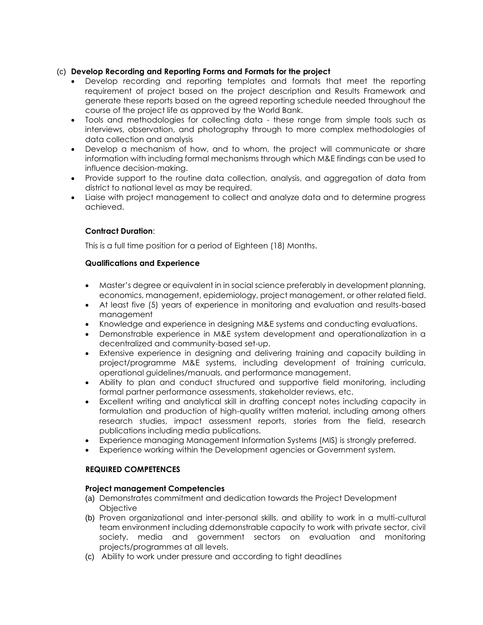### (c) **Develop Recording and Reporting Forms and Formats for the project**

- Develop recording and reporting templates and formats that meet the reporting requirement of project based on the project description and Results Framework and generate these reports based on the agreed reporting schedule needed throughout the course of the project life as approved by the World Bank.
- Tools and methodologies for collecting data these range from simple tools such as interviews, observation, and photography through to more complex methodologies of data collection and analysis
- Develop a mechanism of how, and to whom, the project will communicate or share information with including formal mechanisms through which M&E findings can be used to influence decision-making.
- Provide support to the routine data collection, analysis, and aggregation of data from district to national level as may be required.
- Liaise with project management to collect and analyze data and to determine progress achieved.

### **Contract Duration**:

This is a full time position for a period of Eighteen (18) Months.

#### **Qualifications and Experience**

- Master's degree or equivalent in in social science preferably in development planning, economics, management, epidemiology, project management, or other related field.
- At least five (5) years of experience in monitoring and evaluation and results-based management
- Knowledge and experience in designing M&E systems and conducting evaluations.
- Demonstrable experience in M&E system development and operationalization in a decentralized and community-based set-up.
- Extensive experience in designing and delivering training and capacity building in project/programme M&E systems, including development of training curricula, operational guidelines/manuals, and performance management.
- Ability to plan and conduct structured and supportive field monitoring, including formal partner performance assessments, stakeholder reviews, etc.
- Excellent writing and analytical skill in drafting concept notes including capacity in formulation and production of high-quality written material, including among others research studies, impact assessment reports, stories from the field, research publications including media publications.
- Experience managing Management Information Systems (MIS) is strongly preferred.
- Experience working within the Development agencies or Government system.

#### **REQUIRED COMPETENCES**

#### **Project management Competencies**

- (a) Demonstrates commitment and dedication towards the Project Development **Objective**
- (b) Proven organizational and inter-personal skills, and ability to work in a multi-cultural team environment including ddemonstrable capacity to work with private sector, civil society, media and government sectors on evaluation and monitoring projects/programmes at all levels.
- (c) Ability to work under pressure and according to tight deadlines